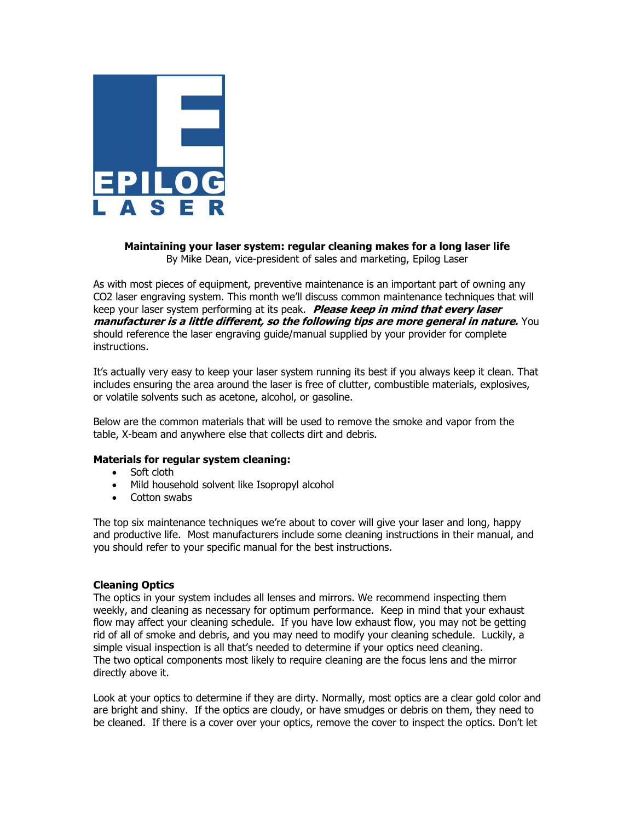

# **Maintaining your laser system: regular cleaning makes for a long laser life** By Mike Dean, vice-president of sales and marketing, Epilog Laser

As with most pieces of equipment, preventive maintenance is an important part of owning any CO2 laser engraving system. This month we'll discuss common maintenance techniques that will keep your laser system performing at its peak. **Please keep in mind that every laser manufacturer is a little different, so the following tips are more general in nature.** You should reference the laser engraving guide/manual supplied by your provider for complete instructions.

It's actually very easy to keep your laser system running its best if you always keep it clean. That includes ensuring the area around the laser is free of clutter, combustible materials, explosives, or volatile solvents such as acetone, alcohol, or gasoline.

Below are the common materials that will be used to remove the smoke and vapor from the table, X-beam and anywhere else that collects dirt and debris.

# **Materials for regular system cleaning:**

- Soft cloth
- Mild household solvent like Isopropyl alcohol
- Cotton swabs

The top six maintenance techniques we're about to cover will give your laser and long, happy and productive life. Most manufacturers include some cleaning instructions in their manual, and you should refer to your specific manual for the best instructions.

### **Cleaning Optics**

The optics in your system includes all lenses and mirrors. We recommend inspecting them weekly, and cleaning as necessary for optimum performance. Keep in mind that your exhaust flow may affect your cleaning schedule. If you have low exhaust flow, you may not be getting rid of all of smoke and debris, and you may need to modify your cleaning schedule. Luckily, a simple visual inspection is all that's needed to determine if your optics need cleaning. The two optical components most likely to require cleaning are the focus lens and the mirror directly above it.

Look at your optics to determine if they are dirty. Normally, most optics are a clear gold color and are bright and shiny. If the optics are cloudy, or have smudges or debris on them, they need to be cleaned. If there is a cover over your optics, remove the cover to inspect the optics. Don't let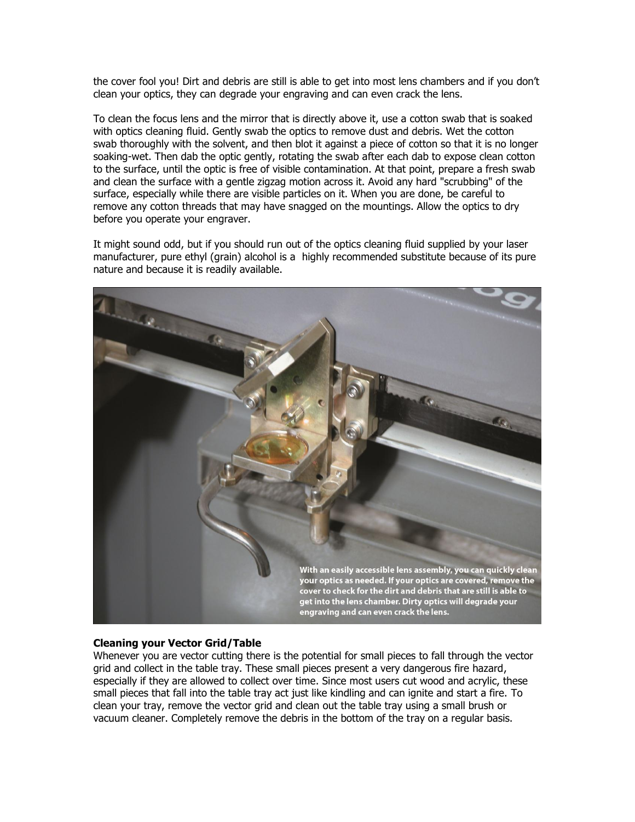the cover fool you! Dirt and debris are still is able to get into most lens chambers and if you don't clean your optics, they can degrade your engraving and can even crack the lens.

To clean the focus lens and the mirror that is directly above it, use a cotton swab that is soaked with optics cleaning fluid. Gently swab the optics to remove dust and debris. Wet the cotton swab thoroughly with the solvent, and then blot it against a piece of cotton so that it is no longer soaking-wet. Then dab the optic gently, rotating the swab after each dab to expose clean cotton to the surface, until the optic is free of visible contamination. At that point, prepare a fresh swab and clean the surface with a gentle zigzag motion across it. Avoid any hard "scrubbing" of the surface, especially while there are visible particles on it. When you are done, be careful to remove any cotton threads that may have snagged on the mountings. Allow the optics to dry before you operate your engraver.

It might sound odd, but if you should run out of the optics cleaning fluid supplied by your laser manufacturer, pure ethyl (grain) alcohol is a highly recommended substitute because of its pure nature and because it is readily available.



### **Cleaning your Vector Grid/Table**

Whenever you are vector cutting there is the potential for small pieces to fall through the vector grid and collect in the table tray. These small pieces present a very dangerous fire hazard, especially if they are allowed to collect over time. Since most users cut wood and acrylic, these small pieces that fall into the table tray act just like kindling and can ignite and start a fire. To clean your tray, remove the vector grid and clean out the table tray using a small brush or vacuum cleaner. Completely remove the debris in the bottom of the tray on a regular basis.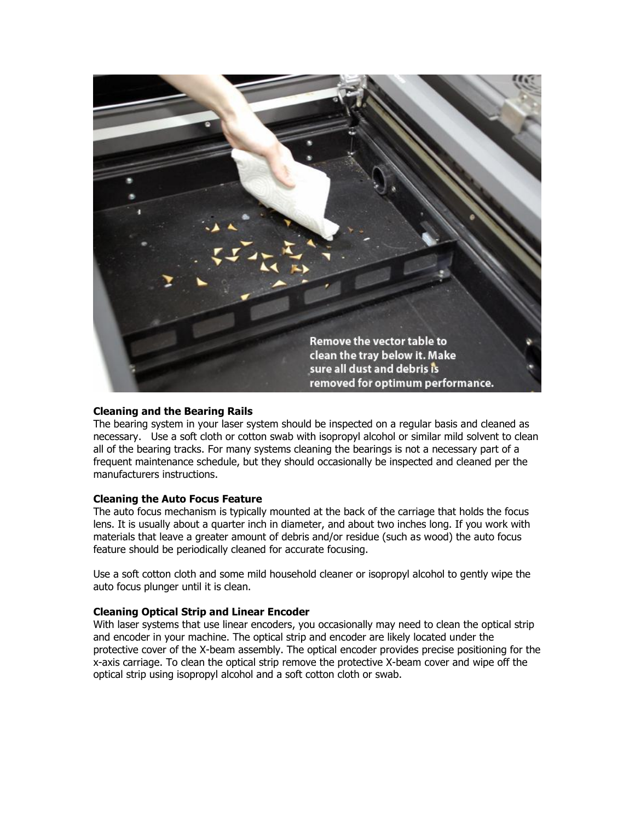

### **Cleaning and the Bearing Rails**

The bearing system in your laser system should be inspected on a regular basis and cleaned as necessary. Use a soft cloth or cotton swab with isopropyl alcohol or similar mild solvent to clean all of the bearing tracks. For many systems cleaning the bearings is not a necessary part of a frequent maintenance schedule, but they should occasionally be inspected and cleaned per the manufacturers instructions.

### **Cleaning the Auto Focus Feature**

The auto focus mechanism is typically mounted at the back of the carriage that holds the focus lens. It is usually about a quarter inch in diameter, and about two inches long. If you work with materials that leave a greater amount of debris and/or residue (such as wood) the auto focus feature should be periodically cleaned for accurate focusing.

Use a soft cotton cloth and some mild household cleaner or isopropyl alcohol to gently wipe the auto focus plunger until it is clean.

### **Cleaning Optical Strip and Linear Encoder**

With laser systems that use linear encoders, you occasionally may need to clean the optical strip and encoder in your machine. The optical strip and encoder are likely located under the protective cover of the X-beam assembly. The optical encoder provides precise positioning for the x-axis carriage. To clean the optical strip remove the protective X-beam cover and wipe off the optical strip using isopropyl alcohol and a soft cotton cloth or swab.